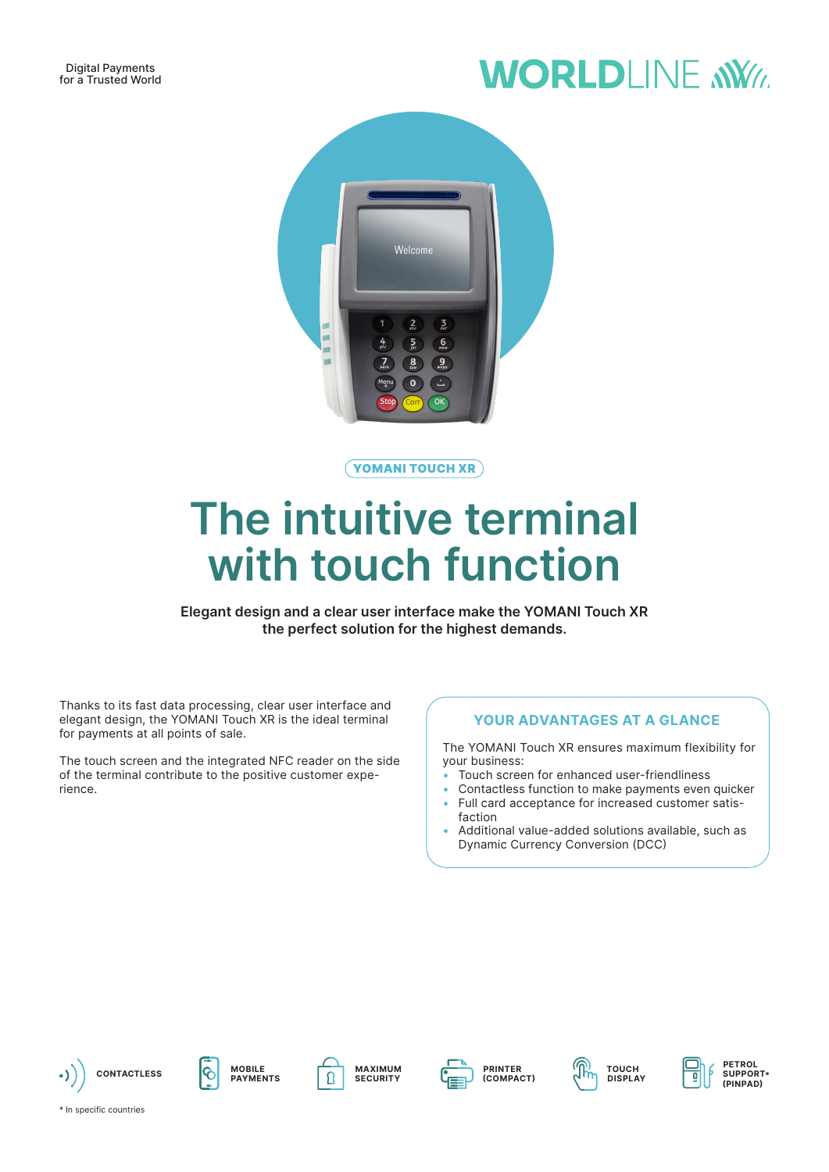# **WORLDLINE NWW**



YOMANI TOUCH XR

# **The intuitive terminal with touch function**

**Elegant design and a clear user interface make the YOMANI Touch XR the perfect solution for the highest demands.**

Thanks to its fast data processing, clear user interface and elegant design, the YOMANI Touch XR is the ideal terminal for payments at all points of sale.

The touch screen and the integrated NFC reader on the side of the terminal contribute to the positive customer experience.

### **YOUR ADVANTAGES AT A GLANCE**

The YOMANI Touch XR ensures maximum flexibility for your business:

- Touch screen for enhanced user-friendliness
- Contactless function to make payments even quicker
- Full card acceptance for increased customer satisfaction
- Additional value-added solutions available, such as Dynamic Currency Conversion (DCC)

















**PETROL SUPPORT\* (PINPAD)**